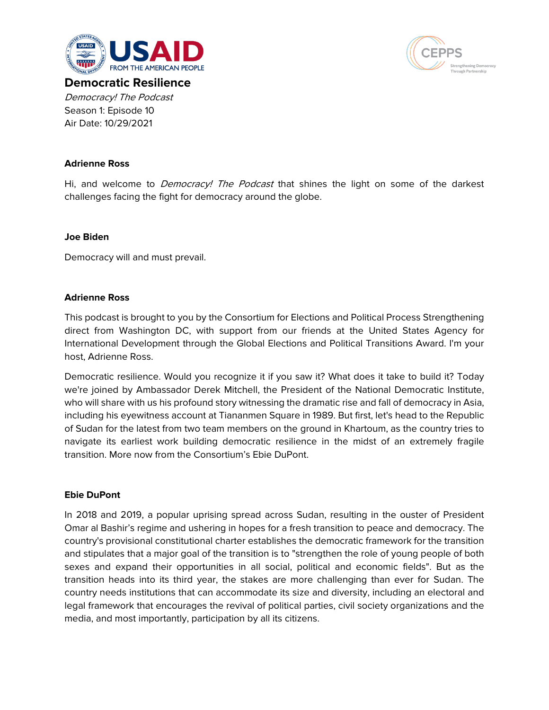



**Democratic Resilience** Democracy! The Podcast Season 1: Episode 10 Air Date: 10/29/2021

## **Adrienne Ross**

Hi, and welcome to *Democracy! The Podcast* that shines the light on some of the darkest challenges facing the fight for democracy around the globe.

### **Joe Biden**

Democracy will and must prevail.

#### **Adrienne Ross**

This podcast is brought to you by the Consortium for Elections and Political Process Strengthening direct from Washington DC, with support from our friends at the United States Agency for International Development through the Global Elections and Political Transitions Award. I'm your host, Adrienne Ross.

Democratic resilience. Would you recognize it if you saw it? What does it take to build it? Today we're joined by Ambassador Derek Mitchell, the President of the National Democratic Institute, who will share with us his profound story witnessing the dramatic rise and fall of democracy in Asia, including his eyewitness account at Tiananmen Square in 1989. But first, let's head to the Republic of Sudan for the latest from two team members on the ground in Khartoum, as the country tries to navigate its earliest work building democratic resilience in the midst of an extremely fragile transition. More now from the Consortium's Ebie DuPont.

#### **Ebie DuPont**

In 2018 and 2019, a popular uprising spread across Sudan, resulting in the ouster of President Omar al Bashir's regime and ushering in hopes for a fresh transition to peace and democracy. The country's provisional constitutional charter establishes the democratic framework for the transition and stipulates that a major goal of the transition is to "strengthen the role of young people of both sexes and expand their opportunities in all social, political and economic fields". But as the transition heads into its third year, the stakes are more challenging than ever for Sudan. The country needs institutions that can accommodate its size and diversity, including an electoral and legal framework that encourages the revival of political parties, civil society organizations and the media, and most importantly, participation by all its citizens.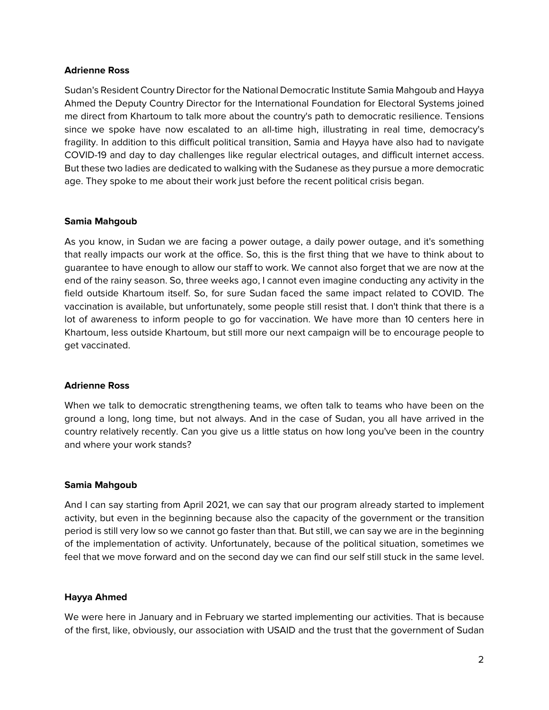#### **Adrienne Ross**

Sudan's Resident Country Director for the National Democratic Institute Samia Mahgoub and Hayya Ahmed the Deputy Country Director for the International Foundation for Electoral Systems joined me direct from Khartoum to talk more about the country's path to democratic resilience. Tensions since we spoke have now escalated to an all-time high, illustrating in real time, democracy's fragility. In addition to this difficult political transition, Samia and Hayya have also had to navigate COVID-19 and day to day challenges like regular electrical outages, and difficult internet access. But these two ladies are dedicated to walking with the Sudanese as they pursue a more democratic age. They spoke to me about their work just before the recent political crisis began.

### **Samia Mahgoub**

As you know, in Sudan we are facing a power outage, a daily power outage, and it's something that really impacts our work at the office. So, this is the first thing that we have to think about to guarantee to have enough to allow our staff to work. We cannot also forget that we are now at the end of the rainy season. So, three weeks ago, I cannot even imagine conducting any activity in the field outside Khartoum itself. So, for sure Sudan faced the same impact related to COVID. The vaccination is available, but unfortunately, some people still resist that. I don't think that there is a lot of awareness to inform people to go for vaccination. We have more than 10 centers here in Khartoum, less outside Khartoum, but still more our next campaign will be to encourage people to get vaccinated.

### **Adrienne Ross**

When we talk to democratic strengthening teams, we often talk to teams who have been on the ground a long, long time, but not always. And in the case of Sudan, you all have arrived in the country relatively recently. Can you give us a little status on how long you've been in the country and where your work stands?

#### **Samia Mahgoub**

And I can say starting from April 2021, we can say that our program already started to implement activity, but even in the beginning because also the capacity of the government or the transition period is still very low so we cannot go faster than that. But still, we can say we are in the beginning of the implementation of activity. Unfortunately, because of the political situation, sometimes we feel that we move forward and on the second day we can find our self still stuck in the same level.

### **Hayya Ahmed**

We were here in January and in February we started implementing our activities. That is because of the first, like, obviously, our association with USAID and the trust that the government of Sudan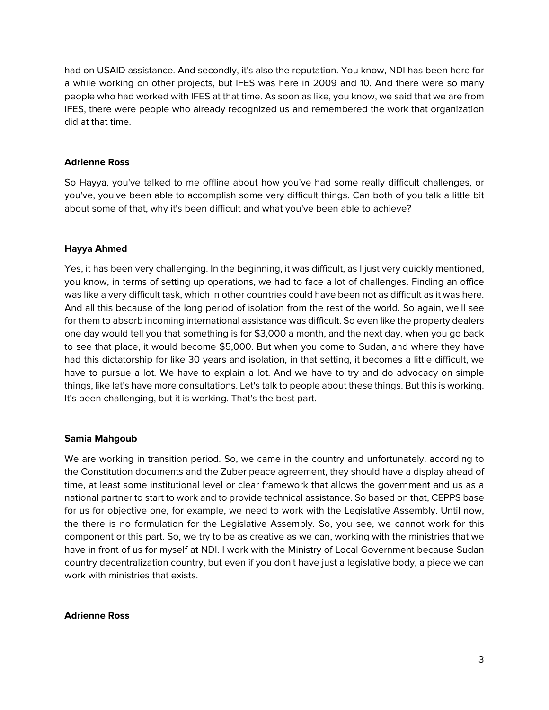had on USAID assistance. And secondly, it's also the reputation. You know, NDI has been here for a while working on other projects, but IFES was here in 2009 and 10. And there were so many people who had worked with IFES at that time. As soon as like, you know, we said that we are from IFES, there were people who already recognized us and remembered the work that organization did at that time.

## **Adrienne Ross**

So Hayya, you've talked to me offline about how you've had some really difficult challenges, or you've, you've been able to accomplish some very difficult things. Can both of you talk a little bit about some of that, why it's been difficult and what you've been able to achieve?

## **Hayya Ahmed**

Yes, it has been very challenging. In the beginning, it was difficult, as I just very quickly mentioned, you know, in terms of setting up operations, we had to face a lot of challenges. Finding an office was like a very difficult task, which in other countries could have been not as difficult as it was here. And all this because of the long period of isolation from the rest of the world. So again, we'll see for them to absorb incoming international assistance was difficult. So even like the property dealers one day would tell you that something is for \$3,000 a month, and the next day, when you go back to see that place, it would become \$5,000. But when you come to Sudan, and where they have had this dictatorship for like 30 years and isolation, in that setting, it becomes a little difficult, we have to pursue a lot. We have to explain a lot. And we have to try and do advocacy on simple things, like let's have more consultations. Let's talk to people about these things. But this is working. It's been challenging, but it is working. That's the best part.

### **Samia Mahgoub**

We are working in transition period. So, we came in the country and unfortunately, according to the Constitution documents and the Zuber peace agreement, they should have a display ahead of time, at least some institutional level or clear framework that allows the government and us as a national partner to start to work and to provide technical assistance. So based on that, CEPPS base for us for objective one, for example, we need to work with the Legislative Assembly. Until now, the there is no formulation for the Legislative Assembly. So, you see, we cannot work for this component or this part. So, we try to be as creative as we can, working with the ministries that we have in front of us for myself at NDI. I work with the Ministry of Local Government because Sudan country decentralization country, but even if you don't have just a legislative body, a piece we can work with ministries that exists.

### **Adrienne Ross**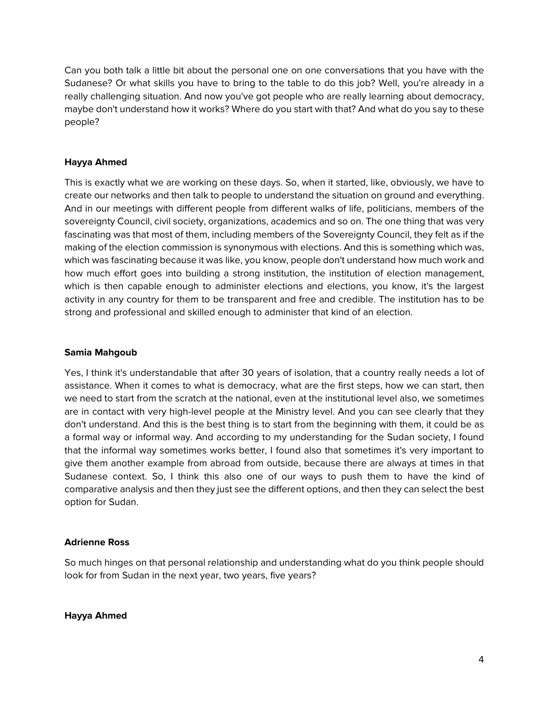Can you both talk a little bit about the personal one on one conversations that you have with the Sudanese? Or what skills you have to bring to the table to do this job? Well, you're already in a really challenging situation. And now you've got people who are really learning about democracy, maybe don't understand how it works? Where do you start with that? And what do you say to these people?

# **Hayya Ahmed**

This is exactly what we are working on these days. So, when it started, like, obviously, we have to create our networks and then talk to people to understand the situation on ground and everything. And in our meetings with different people from different walks of life, politicians, members of the sovereignty Council, civil society, organizations, academics and so on. The one thing that was very fascinating was that most of them, including members of the Sovereignty Council, they felt as if the making of the election commission is synonymous with elections. And this is something which was, which was fascinating because it was like, you know, people don't understand how much work and how much effort goes into building a strong institution, the institution of election management, which is then capable enough to administer elections and elections, you know, it's the largest activity in any country for them to be transparent and free and credible. The institution has to be strong and professional and skilled enough to administer that kind of an election.

### **Samia Mahgoub**

Yes, I think it's understandable that after 30 years of isolation, that a country really needs a lot of assistance. When it comes to what is democracy, what are the first steps, how we can start, then we need to start from the scratch at the national, even at the institutional level also, we sometimes are in contact with very high-level people at the Ministry level. And you can see clearly that they don't understand. And this is the best thing is to start from the beginning with them, it could be as a formal way or informal way. And according to my understanding for the Sudan society, I found that the informal way sometimes works better, I found also that sometimes it's very important to give them another example from abroad from outside, because there are always at times in that Sudanese context. So, I think this also one of our ways to push them to have the kind of comparative analysis and then they just see the different options, and then they can select the best option for Sudan.

### **Adrienne Ross**

So much hinges on that personal relationship and understanding what do you think people should look for from Sudan in the next year, two years, five years?

### **Hayya Ahmed**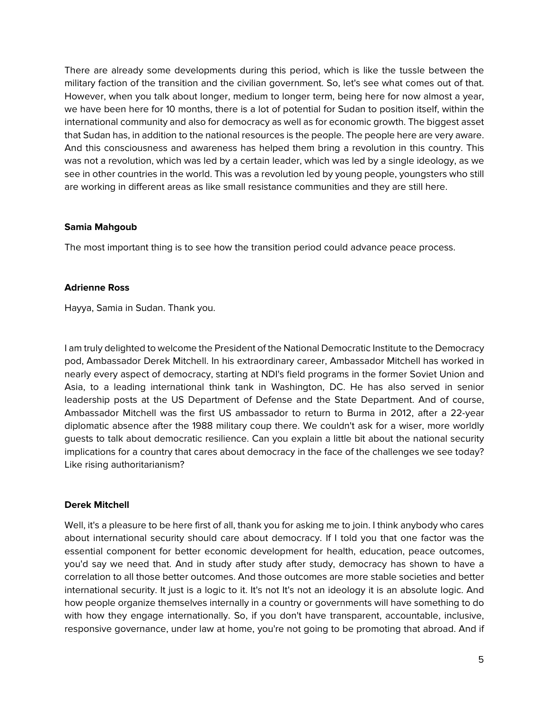There are already some developments during this period, which is like the tussle between the military faction of the transition and the civilian government. So, let's see what comes out of that. However, when you talk about longer, medium to longer term, being here for now almost a year, we have been here for 10 months, there is a lot of potential for Sudan to position itself, within the international community and also for democracy as well as for economic growth. The biggest asset that Sudan has, in addition to the national resources is the people. The people here are very aware. And this consciousness and awareness has helped them bring a revolution in this country. This was not a revolution, which was led by a certain leader, which was led by a single ideology, as we see in other countries in the world. This was a revolution led by young people, youngsters who still are working in different areas as like small resistance communities and they are still here.

### **Samia Mahgoub**

The most important thing is to see how the transition period could advance peace process.

### **Adrienne Ross**

Hayya, Samia in Sudan. Thank you.

I am truly delighted to welcome the President of the National Democratic Institute to the Democracy pod, Ambassador Derek Mitchell. In his extraordinary career, Ambassador Mitchell has worked in nearly every aspect of democracy, starting at NDI's field programs in the former Soviet Union and Asia, to a leading international think tank in Washington, DC. He has also served in senior leadership posts at the US Department of Defense and the State Department. And of course, Ambassador Mitchell was the first US ambassador to return to Burma in 2012, after a 22-year diplomatic absence after the 1988 military coup there. We couldn't ask for a wiser, more worldly guests to talk about democratic resilience. Can you explain a little bit about the national security implications for a country that cares about democracy in the face of the challenges we see today? Like rising authoritarianism?

# **Derek Mitchell**

Well, it's a pleasure to be here first of all, thank you for asking me to join. I think anybody who cares about international security should care about democracy. If I told you that one factor was the essential component for better economic development for health, education, peace outcomes, you'd say we need that. And in study after study after study, democracy has shown to have a correlation to all those better outcomes. And those outcomes are more stable societies and better international security. It just is a logic to it. It's not It's not an ideology it is an absolute logic. And how people organize themselves internally in a country or governments will have something to do with how they engage internationally. So, if you don't have transparent, accountable, inclusive, responsive governance, under law at home, you're not going to be promoting that abroad. And if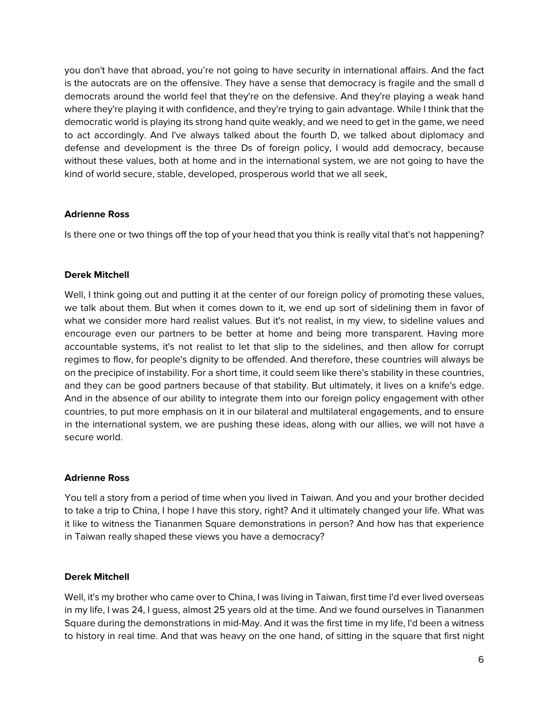you don't have that abroad, you're not going to have security in international affairs. And the fact is the autocrats are on the offensive. They have a sense that democracy is fragile and the small d democrats around the world feel that they're on the defensive. And they're playing a weak hand where they're playing it with confidence, and they're trying to gain advantage. While I think that the democratic world is playing its strong hand quite weakly, and we need to get in the game, we need to act accordingly. And I've always talked about the fourth D, we talked about diplomacy and defense and development is the three Ds of foreign policy, I would add democracy, because without these values, both at home and in the international system, we are not going to have the kind of world secure, stable, developed, prosperous world that we all seek,

## **Adrienne Ross**

Is there one or two things off the top of your head that you think is really vital that's not happening?

## **Derek Mitchell**

Well, I think going out and putting it at the center of our foreign policy of promoting these values, we talk about them. But when it comes down to it, we end up sort of sidelining them in favor of what we consider more hard realist values. But it's not realist, in my view, to sideline values and encourage even our partners to be better at home and being more transparent. Having more accountable systems, it's not realist to let that slip to the sidelines, and then allow for corrupt regimes to flow, for people's dignity to be offended. And therefore, these countries will always be on the precipice of instability. For a short time, it could seem like there's stability in these countries, and they can be good partners because of that stability. But ultimately, it lives on a knife's edge. And in the absence of our ability to integrate them into our foreign policy engagement with other countries, to put more emphasis on it in our bilateral and multilateral engagements, and to ensure in the international system, we are pushing these ideas, along with our allies, we will not have a secure world.

### **Adrienne Ross**

You tell a story from a period of time when you lived in Taiwan. And you and your brother decided to take a trip to China, I hope I have this story, right? And it ultimately changed your life. What was it like to witness the Tiananmen Square demonstrations in person? And how has that experience in Taiwan really shaped these views you have a democracy?

### **Derek Mitchell**

Well, it's my brother who came over to China, I was living in Taiwan, first time I'd ever lived overseas in my life, I was 24, I guess, almost 25 years old at the time. And we found ourselves in Tiananmen Square during the demonstrations in mid-May. And it was the first time in my life, I'd been a witness to history in real time. And that was heavy on the one hand, of sitting in the square that first night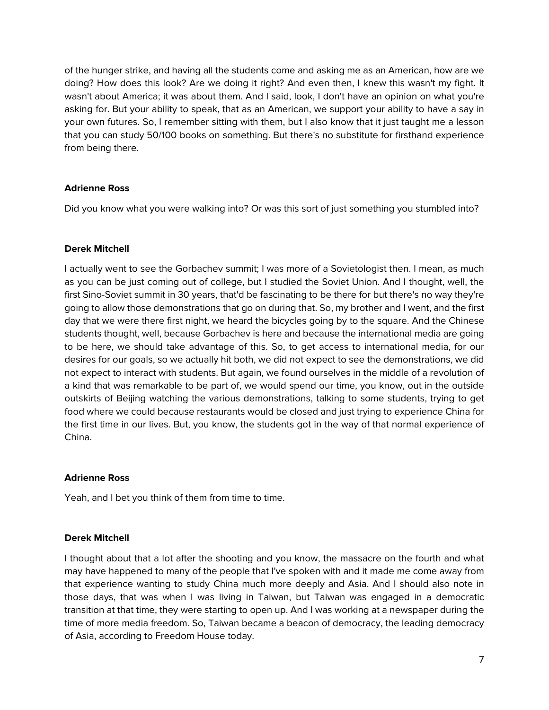of the hunger strike, and having all the students come and asking me as an American, how are we doing? How does this look? Are we doing it right? And even then, I knew this wasn't my fight. It wasn't about America; it was about them. And I said, look, I don't have an opinion on what you're asking for. But your ability to speak, that as an American, we support your ability to have a say in your own futures. So, I remember sitting with them, but I also know that it just taught me a lesson that you can study 50/100 books on something. But there's no substitute for firsthand experience from being there.

## **Adrienne Ross**

Did you know what you were walking into? Or was this sort of just something you stumbled into?

## **Derek Mitchell**

I actually went to see the Gorbachev summit; I was more of a Sovietologist then. I mean, as much as you can be just coming out of college, but I studied the Soviet Union. And I thought, well, the first Sino-Soviet summit in 30 years, that'd be fascinating to be there for but there's no way they're going to allow those demonstrations that go on during that. So, my brother and I went, and the first day that we were there first night, we heard the bicycles going by to the square. And the Chinese students thought, well, because Gorbachev is here and because the international media are going to be here, we should take advantage of this. So, to get access to international media, for our desires for our goals, so we actually hit both, we did not expect to see the demonstrations, we did not expect to interact with students. But again, we found ourselves in the middle of a revolution of a kind that was remarkable to be part of, we would spend our time, you know, out in the outside outskirts of Beijing watching the various demonstrations, talking to some students, trying to get food where we could because restaurants would be closed and just trying to experience China for the first time in our lives. But, you know, the students got in the way of that normal experience of China.

### **Adrienne Ross**

Yeah, and I bet you think of them from time to time.

### **Derek Mitchell**

I thought about that a lot after the shooting and you know, the massacre on the fourth and what may have happened to many of the people that I've spoken with and it made me come away from that experience wanting to study China much more deeply and Asia. And I should also note in those days, that was when I was living in Taiwan, but Taiwan was engaged in a democratic transition at that time, they were starting to open up. And I was working at a newspaper during the time of more media freedom. So, Taiwan became a beacon of democracy, the leading democracy of Asia, according to Freedom House today.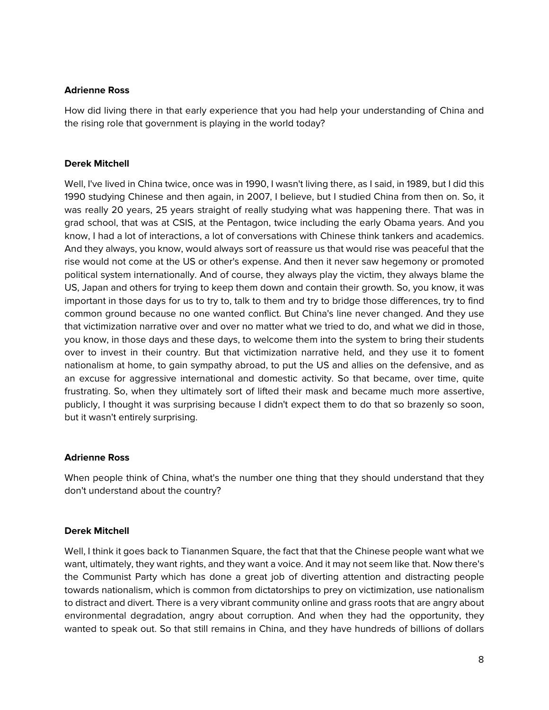### **Adrienne Ross**

How did living there in that early experience that you had help your understanding of China and the rising role that government is playing in the world today?

### **Derek Mitchell**

Well, I've lived in China twice, once was in 1990, I wasn't living there, as I said, in 1989, but I did this 1990 studying Chinese and then again, in 2007, I believe, but I studied China from then on. So, it was really 20 years, 25 years straight of really studying what was happening there. That was in grad school, that was at CSIS, at the Pentagon, twice including the early Obama years. And you know, I had a lot of interactions, a lot of conversations with Chinese think tankers and academics. And they always, you know, would always sort of reassure us that would rise was peaceful that the rise would not come at the US or other's expense. And then it never saw hegemony or promoted political system internationally. And of course, they always play the victim, they always blame the US, Japan and others for trying to keep them down and contain their growth. So, you know, it was important in those days for us to try to, talk to them and try to bridge those differences, try to find common ground because no one wanted conflict. But China's line never changed. And they use that victimization narrative over and over no matter what we tried to do, and what we did in those, you know, in those days and these days, to welcome them into the system to bring their students over to invest in their country. But that victimization narrative held, and they use it to foment nationalism at home, to gain sympathy abroad, to put the US and allies on the defensive, and as an excuse for aggressive international and domestic activity. So that became, over time, quite frustrating. So, when they ultimately sort of lifted their mask and became much more assertive, publicly, I thought it was surprising because I didn't expect them to do that so brazenly so soon, but it wasn't entirely surprising.

### **Adrienne Ross**

When people think of China, what's the number one thing that they should understand that they don't understand about the country?

### **Derek Mitchell**

Well, I think it goes back to Tiananmen Square, the fact that that the Chinese people want what we want, ultimately, they want rights, and they want a voice. And it may not seem like that. Now there's the Communist Party which has done a great job of diverting attention and distracting people towards nationalism, which is common from dictatorships to prey on victimization, use nationalism to distract and divert. There is a very vibrant community online and grass roots that are angry about environmental degradation, angry about corruption. And when they had the opportunity, they wanted to speak out. So that still remains in China, and they have hundreds of billions of dollars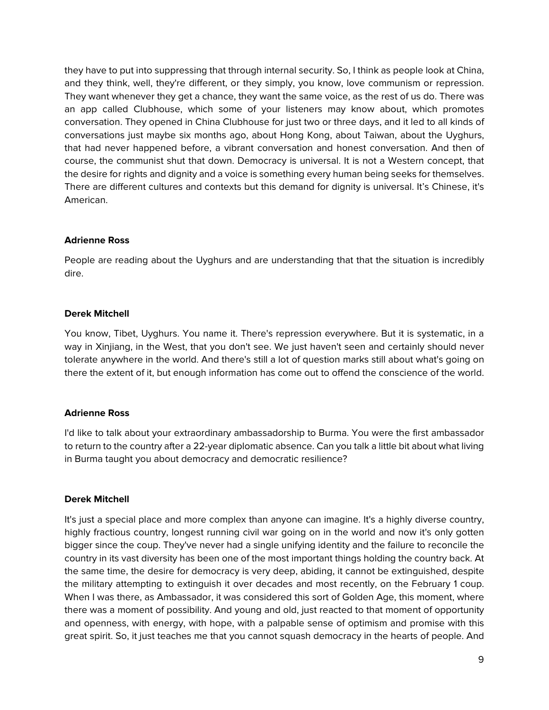they have to put into suppressing that through internal security. So, I think as people look at China, and they think, well, they're different, or they simply, you know, love communism or repression. They want whenever they get a chance, they want the same voice, as the rest of us do. There was an app called Clubhouse, which some of your listeners may know about, which promotes conversation. They opened in China Clubhouse for just two or three days, and it led to all kinds of conversations just maybe six months ago, about Hong Kong, about Taiwan, about the Uyghurs, that had never happened before, a vibrant conversation and honest conversation. And then of course, the communist shut that down. Democracy is universal. It is not a Western concept, that the desire for rights and dignity and a voice is something every human being seeks for themselves. There are different cultures and contexts but this demand for dignity is universal. It's Chinese, it's American.

## **Adrienne Ross**

People are reading about the Uyghurs and are understanding that that the situation is incredibly dire.

## **Derek Mitchell**

You know, Tibet, Uyghurs. You name it. There's repression everywhere. But it is systematic, in a way in Xinjiang, in the West, that you don't see. We just haven't seen and certainly should never tolerate anywhere in the world. And there's still a lot of question marks still about what's going on there the extent of it, but enough information has come out to offend the conscience of the world.

### **Adrienne Ross**

I'd like to talk about your extraordinary ambassadorship to Burma. You were the first ambassador to return to the country after a 22-year diplomatic absence. Can you talk a little bit about what living in Burma taught you about democracy and democratic resilience?

### **Derek Mitchell**

It's just a special place and more complex than anyone can imagine. It's a highly diverse country, highly fractious country, longest running civil war going on in the world and now it's only gotten bigger since the coup. They've never had a single unifying identity and the failure to reconcile the country in its vast diversity has been one of the most important things holding the country back. At the same time, the desire for democracy is very deep, abiding, it cannot be extinguished, despite the military attempting to extinguish it over decades and most recently, on the February 1 coup. When I was there, as Ambassador, it was considered this sort of Golden Age, this moment, where there was a moment of possibility. And young and old, just reacted to that moment of opportunity and openness, with energy, with hope, with a palpable sense of optimism and promise with this great spirit. So, it just teaches me that you cannot squash democracy in the hearts of people. And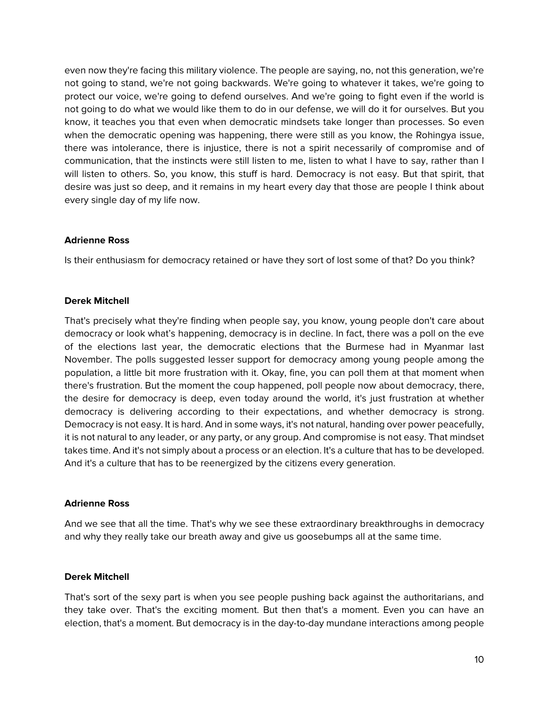even now they're facing this military violence. The people are saying, no, not this generation, we're not going to stand, we're not going backwards. We're going to whatever it takes, we're going to protect our voice, we're going to defend ourselves. And we're going to fight even if the world is not going to do what we would like them to do in our defense, we will do it for ourselves. But you know, it teaches you that even when democratic mindsets take longer than processes. So even when the democratic opening was happening, there were still as you know, the Rohingya issue, there was intolerance, there is injustice, there is not a spirit necessarily of compromise and of communication, that the instincts were still listen to me, listen to what I have to say, rather than I will listen to others. So, you know, this stuff is hard. Democracy is not easy. But that spirit, that desire was just so deep, and it remains in my heart every day that those are people I think about every single day of my life now.

### **Adrienne Ross**

Is their enthusiasm for democracy retained or have they sort of lost some of that? Do you think?

### **Derek Mitchell**

That's precisely what they're finding when people say, you know, young people don't care about democracy or look what's happening, democracy is in decline. In fact, there was a poll on the eve of the elections last year, the democratic elections that the Burmese had in Myanmar last November. The polls suggested lesser support for democracy among young people among the population, a little bit more frustration with it. Okay, fine, you can poll them at that moment when there's frustration. But the moment the coup happened, poll people now about democracy, there, the desire for democracy is deep, even today around the world, it's just frustration at whether democracy is delivering according to their expectations, and whether democracy is strong. Democracy is not easy. It is hard. And in some ways, it's not natural, handing over power peacefully, it is not natural to any leader, or any party, or any group. And compromise is not easy. That mindset takes time. And it's not simply about a process or an election. It's a culture that has to be developed. And it's a culture that has to be reenergized by the citizens every generation.

### **Adrienne Ross**

And we see that all the time. That's why we see these extraordinary breakthroughs in democracy and why they really take our breath away and give us goosebumps all at the same time.

### **Derek Mitchell**

That's sort of the sexy part is when you see people pushing back against the authoritarians, and they take over. That's the exciting moment. But then that's a moment. Even you can have an election, that's a moment. But democracy is in the day-to-day mundane interactions among people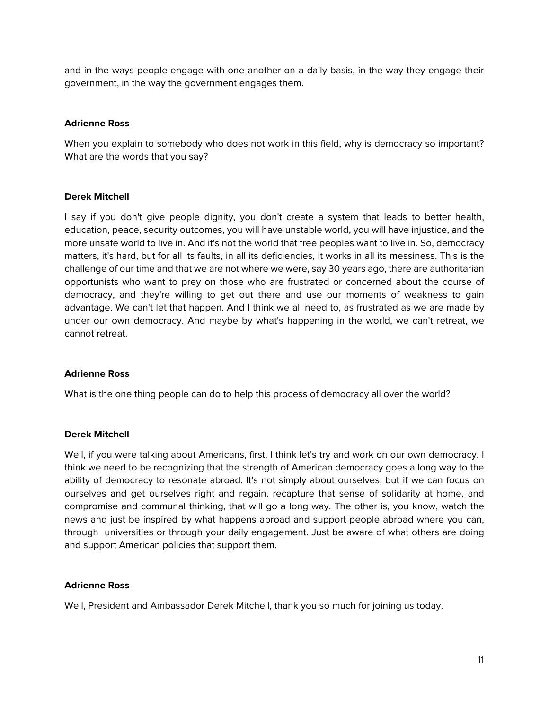and in the ways people engage with one another on a daily basis, in the way they engage their government, in the way the government engages them.

## **Adrienne Ross**

When you explain to somebody who does not work in this field, why is democracy so important? What are the words that you say?

### **Derek Mitchell**

I say if you don't give people dignity, you don't create a system that leads to better health, education, peace, security outcomes, you will have unstable world, you will have injustice, and the more unsafe world to live in. And it's not the world that free peoples want to live in. So, democracy matters, it's hard, but for all its faults, in all its deficiencies, it works in all its messiness. This is the challenge of our time and that we are not where we were, say 30 years ago, there are authoritarian opportunists who want to prey on those who are frustrated or concerned about the course of democracy, and they're willing to get out there and use our moments of weakness to gain advantage. We can't let that happen. And I think we all need to, as frustrated as we are made by under our own democracy. And maybe by what's happening in the world, we can't retreat, we cannot retreat.

### **Adrienne Ross**

What is the one thing people can do to help this process of democracy all over the world?

### **Derek Mitchell**

Well, if you were talking about Americans, first, I think let's try and work on our own democracy. I think we need to be recognizing that the strength of American democracy goes a long way to the ability of democracy to resonate abroad. It's not simply about ourselves, but if we can focus on ourselves and get ourselves right and regain, recapture that sense of solidarity at home, and compromise and communal thinking, that will go a long way. The other is, you know, watch the news and just be inspired by what happens abroad and support people abroad where you can, through universities or through your daily engagement. Just be aware of what others are doing and support American policies that support them.

### **Adrienne Ross**

Well, President and Ambassador Derek Mitchell, thank you so much for joining us today.